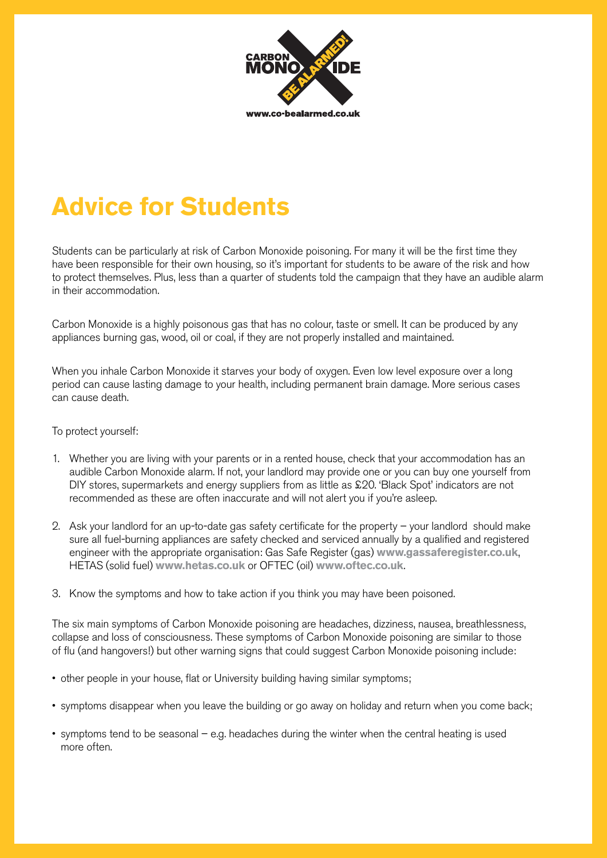

## **Advice for Students**

Students can be particularly at risk of Carbon Monoxide poisoning. For many it will be the first time they have been responsible for their own housing, so it's important for students to be aware of the risk and how to protect themselves. Plus, less than a quarter of students told the campaign that they have an audible alarm in their accommodation.

Carbon Monoxide is a highly poisonous gas that has no colour, taste or smell. It can be produced by any appliances burning gas, wood, oil or coal, if they are not properly installed and maintained.

When you inhale Carbon Monoxide it starves your body of oxygen. Even low level exposure over a long period can cause lasting damage to your health, including permanent brain damage. More serious cases can cause death.

## To protect yourself:

- 1. Whether you are living with your parents or in a rented house, check that your accommodation has an audible Carbon Monoxide alarm. If not, your landlord may provide one or you can buy one yourself from DIY stores, supermarkets and energy suppliers from as little as £20. 'Black Spot' indicators are not recommended as these are often inaccurate and will not alert you if you're asleep.
- 2. Ask your landlord for an up-to-date gas safety certificate for the property your landlord should make sure all fuel-burning appliances are safety checked and serviced annually by a qualified and registered engineer with the appropriate organisation: Gas Safe Register (gas) **www.gassaferegister.co.uk**, HETAS (solid fuel) **www.hetas.co.uk** or OFTEC (oil) **www.oftec.co.uk**.
- 3. Know the symptoms and how to take action if you think you may have been poisoned.

The six main symptoms of Carbon Monoxide poisoning are headaches, dizziness, nausea, breathlessness, collapse and loss of consciousness. These symptoms of Carbon Monoxide poisoning are similar to those of flu (and hangovers!) but other warning signs that could suggest Carbon Monoxide poisoning include:

- other people in your house, flat or University building having similar symptoms;
- symptoms disappear when you leave the building or go away on holiday and return when you come back;
- symptoms tend to be seasonal e.g. headaches during the winter when the central heating is used more often.